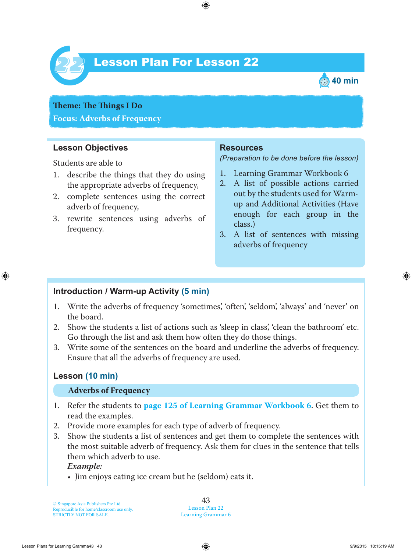

# Lesson Plan For Lesson 22 *22*



**Theme: The Things I** Do **Focus: Adverbs of Frequency**

### **Lesson Objectives**

Students are able to

- 1. describe the things that they do using the appropriate adverbs of frequency,
- 2. complete sentences using the correct adverb of frequency,
- 3. rewrite sentences using adverbs of frequency.

### **Resources**

*(Preparation to be done before the lesson)*

- 1. Learning Grammar Workbook 6
- 2. A list of possible actions carried out by the students used for Warmup and Additional Activities (Have enough for each group in the class.)
- 3. A list of sentences with missing adverbs of frequency

### **Introduction / Warm-up Activity (5 min)**

- 1. Write the adverbs of frequency 'sometimes', 'often', 'seldom', 'always' and 'never' on the board.
- 2. Show the students a list of actions such as 'sleep in class', 'clean the bathroom' etc. Go through the list and ask them how often they do those things.
- 3. Write some of the sentences on the board and underline the adverbs of frequency. Ensure that all the adverbs of frequency are used.

# **Lesson (10 min)**

#### **Adverbs of Frequency**

- 1. Refer the students to **page 125 of Learning Grammar Workbook 6**. Get them to read the examples.
- 2. Provide more examples for each type of adverb of frequency.
- 3. Show the students a list of sentences and get them to complete the sentences with the most suitable adverb of frequency. Ask them for clues in the sentence that tells them which adverb to use.

#### *Example:*

• Jim enjoys eating ice cream but he (seldom) eats it.